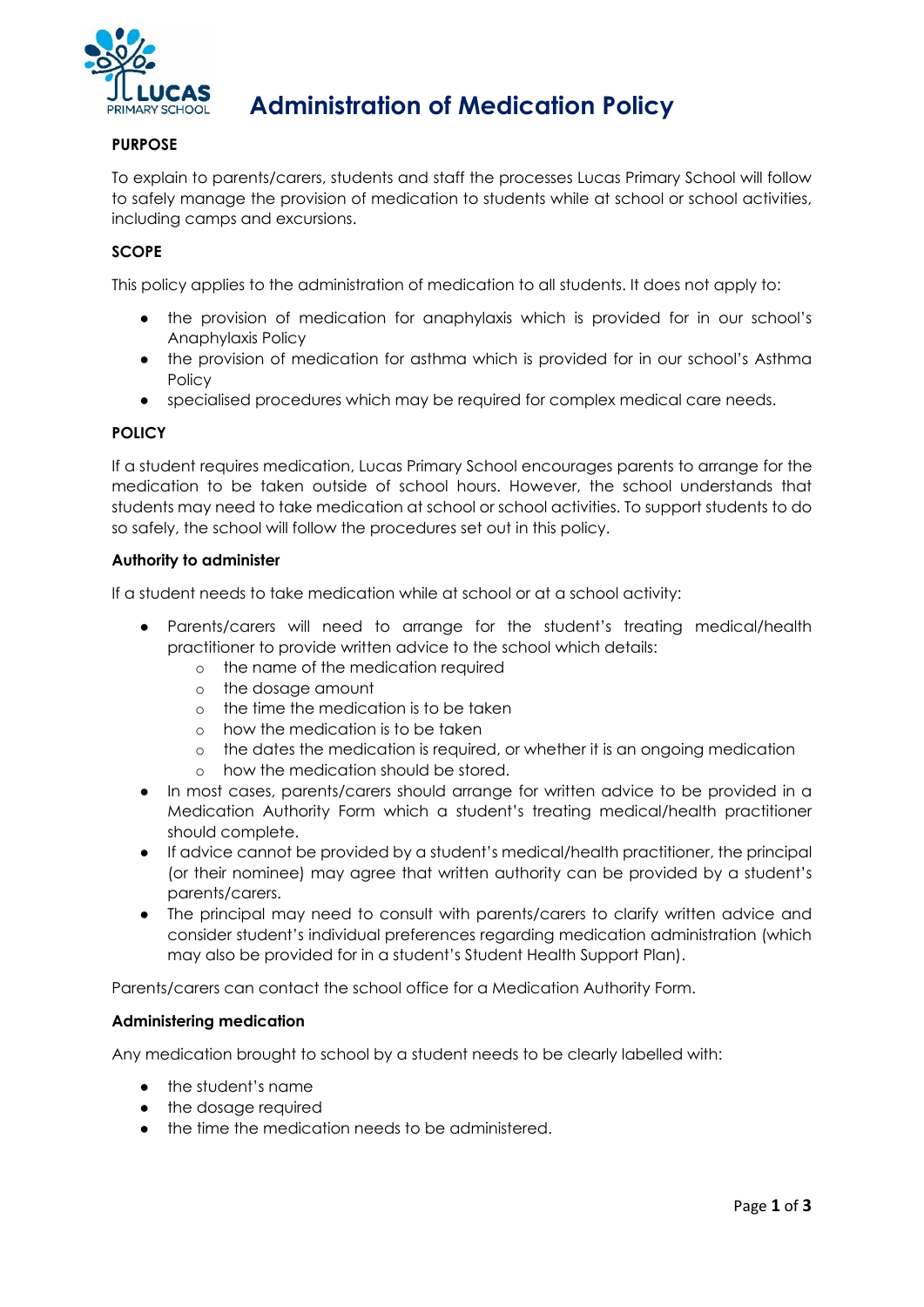

# **Administration of Medication Policy**

## **PURPOSE**

To explain to parents/carers, students and staff the processes Lucas Primary School will follow to safely manage the provision of medication to students while at school or school activities, including camps and excursions.

## **SCOPE**

This policy applies to the administration of medication to all students. It does not apply to:

- the provision of medication for anaphylaxis which is provided for in our school's Anaphylaxis Policy
- the provision of medication for asthma which is provided for in our school's Asthma Policy
- specialised procedures which may be required for complex medical care needs.

## **POLICY**

If a student requires medication, Lucas Primary School encourages parents to arrange for the medication to be taken outside of school hours. However, the school understands that students may need to take medication at school or school activities. To support students to do so safely, the school will follow the procedures set out in this policy.

## **Authority to administer**

If a student needs to take medication while at school or at a school activity:

- Parents/carers will need to arrange for the student's treating medical/health practitioner to provide written advice to the school which details:
	- o the name of the medication required
	- o the dosage amount
	- o the time the medication is to be taken
	- o how the medication is to be taken
	- o the dates the medication is required, or whether it is an ongoing medication
	- o how the medication should be stored.
- In most cases, parents/carers should arrange for written advice to be provided in a Medication Authority Form which a student's treating medical/health practitioner should complete.
- If advice cannot be provided by a student's medical/health practitioner, the principal (or their nominee) may agree that written authority can be provided by a student's parents/carers.
- The principal may need to consult with parents/carers to clarify written advice and consider student's individual preferences regarding medication administration (which may also be provided for in a student's Student Health Support Plan).

Parents/carers can contact the school office for a Medication Authority Form.

## **Administering medication**

Any medication brought to school by a student needs to be clearly labelled with:

- the student's name
- the dosage required
- the time the medication needs to be administered.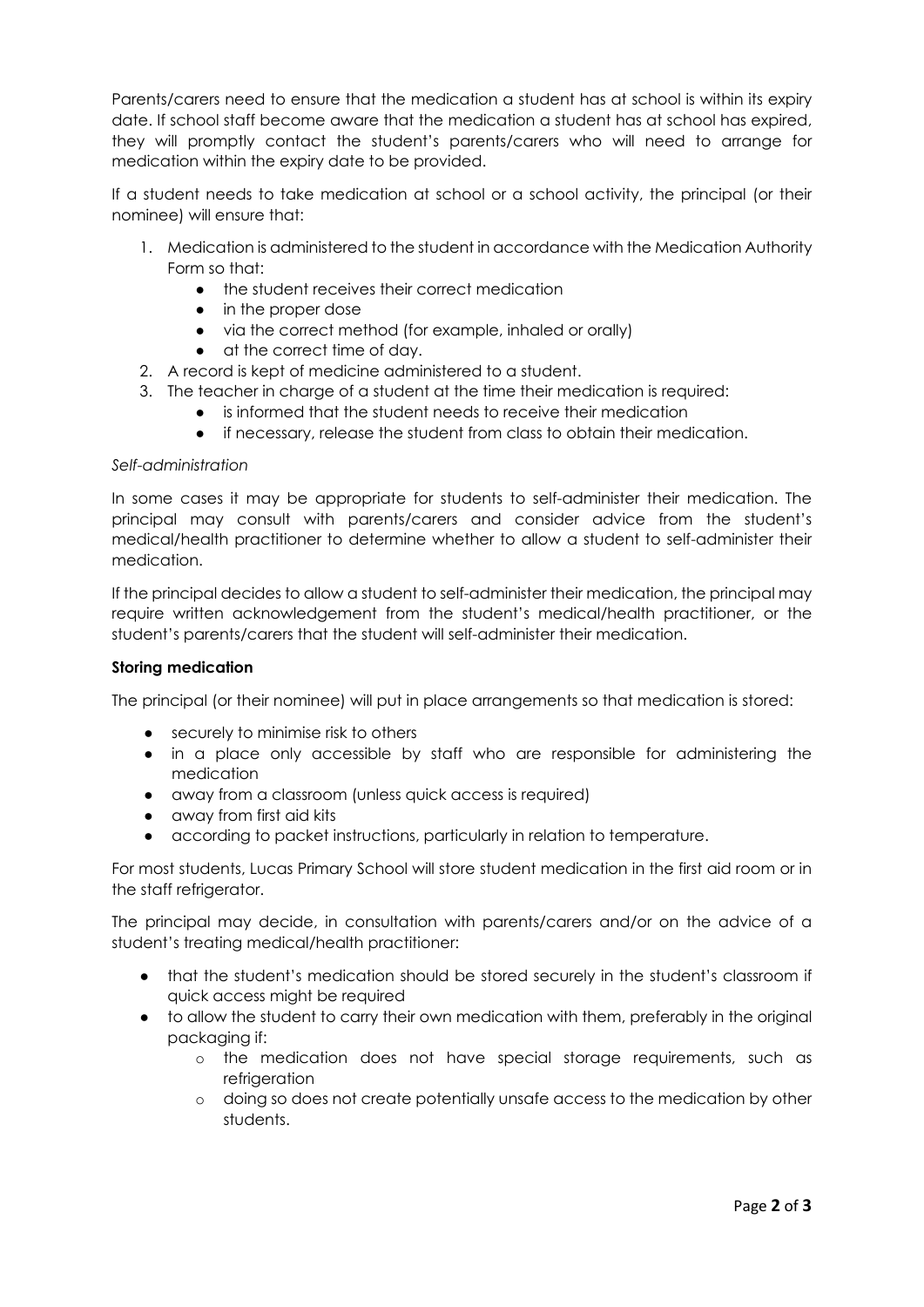Parents/carers need to ensure that the medication a student has at school is within its expiry date. If school staff become aware that the medication a student has at school has expired, they will promptly contact the student's parents/carers who will need to arrange for medication within the expiry date to be provided.

If a student needs to take medication at school or a school activity, the principal (or their nominee) will ensure that:

- 1. Medication is administered to the student in accordance with the Medication Authority Form so that:
	- the student receives their correct medication
	- in the proper dose
	- via the correct method (for example, inhaled or orally)
	- at the correct time of day.
- 2. A record is kept of medicine administered to a student.
- 3. The teacher in charge of a student at the time their medication is required:
	- is informed that the student needs to receive their medication
	- if necessary, release the student from class to obtain their medication.

#### *Self-administration*

In some cases it may be appropriate for students to self-administer their medication. The principal may consult with parents/carers and consider advice from the student's medical/health practitioner to determine whether to allow a student to self-administer their medication.

If the principal decides to allow a student to self-administer their medication, the principal may require written acknowledgement from the student's medical/health practitioner, or the student's parents/carers that the student will self-administer their medication.

## **Storing medication**

The principal (or their nominee) will put in place arrangements so that medication is stored:

- securely to minimise risk to others
- in a place only accessible by staff who are responsible for administering the medication
- away from a classroom (unless quick access is required)
- away from first aid kits
- according to packet instructions, particularly in relation to temperature.

For most students, Lucas Primary School will store student medication in the first aid room or in the staff refrigerator.

The principal may decide, in consultation with parents/carers and/or on the advice of a student's treating medical/health practitioner:

- that the student's medication should be stored securely in the student's classroom if quick access might be required
- to allow the student to carry their own medication with them, preferably in the original packaging if:
	- o the medication does not have special storage requirements, such as refrigeration
	- o doing so does not create potentially unsafe access to the medication by other students.